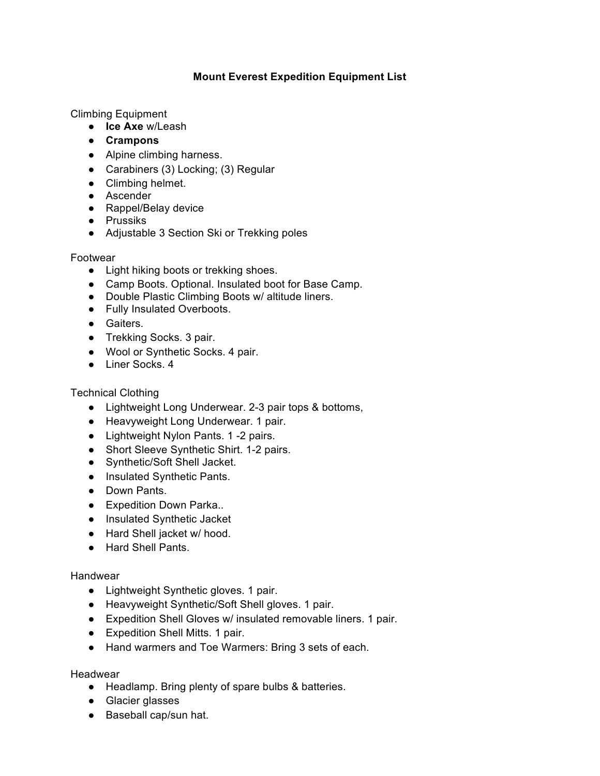# **Mount Everest Expedition Equipment List**

Climbing Equipment

- **Ice Axe** w/Leash
- **Crampons**
- Alpine climbing harness.
- Carabiners (3) Locking; (3) Regular
- Climbing helmet.
- Ascender
- Rappel/Belay device
- Prussiks
- Adjustable 3 Section Ski or Trekking poles

#### Footwear

- Light hiking boots or trekking shoes.
- Camp Boots. Optional. Insulated boot for Base Camp.
- Double Plastic Climbing Boots w/ altitude liners.
- Fully Insulated Overboots.
- Gaiters.
- Trekking Socks. 3 pair.
- Wool or Synthetic Socks. 4 pair.
- Liner Socks. 4

Technical Clothing

- Lightweight Long Underwear. 2-3 pair tops & bottoms,
- Heavyweight Long Underwear. 1 pair.
- Lightweight Nylon Pants. 1 -2 pairs.
- Short Sleeve Synthetic Shirt. 1-2 pairs.
- Synthetic/Soft Shell Jacket.
- Insulated Synthetic Pants.
- Down Pants.
- Expedition Down Parka..
- Insulated Synthetic Jacket
- Hard Shell jacket w/ hood.
- Hard Shell Pants.

# Handwear

- Lightweight Synthetic gloves. 1 pair.
- Heavyweight Synthetic/Soft Shell gloves. 1 pair.
- Expedition Shell Gloves w/ insulated removable liners. 1 pair.
- Expedition Shell Mitts. 1 pair.
- Hand warmers and Toe Warmers: Bring 3 sets of each.

# Headwear

- Headlamp. Bring plenty of spare bulbs & batteries.
- Glacier glasses
- Baseball cap/sun hat.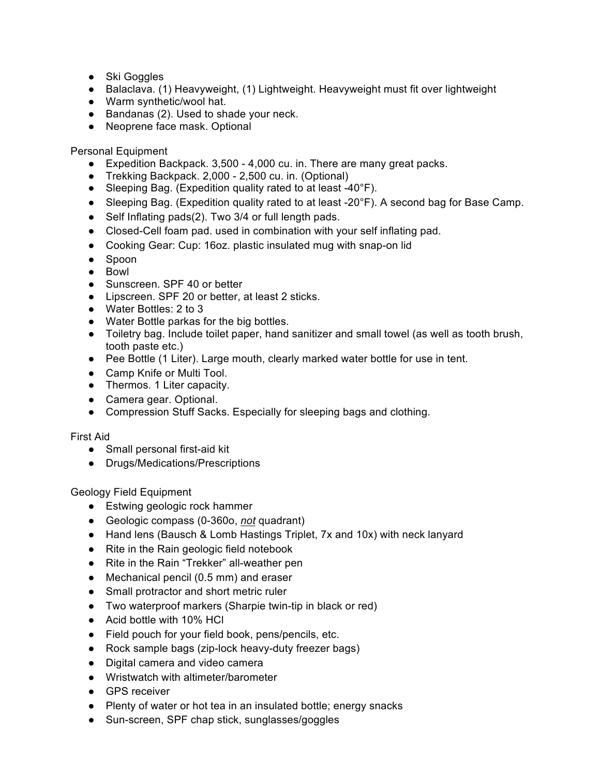- Ski Goggles
- Balaclava. (1) Heavyweight, (1) Lightweight. Heavyweight must fit over lightweight
- Warm synthetic/wool hat.
- Bandanas (2). Used to shade your neck.
- Neoprene face mask. Optional

Personal Equipment

- Expedition Backpack. 3,500 4,000 cu. in. There are many great packs.
- Trekking Backpack. 2,000 2,500 cu. in. (Optional)
- Sleeping Bag. (Expedition quality rated to at least -40°F).
- Sleeping Bag. (Expedition quality rated to at least -20°F). A second bag for Base Camp.
- Self Inflating pads(2). Two 3/4 or full length pads.
- Closed-Cell foam pad. used in combination with your self inflating pad.
- Cooking Gear: Cup: 16oz. plastic insulated mug with snap-on lid
- Spoon
- Bowl
- Sunscreen. SPF 40 or better
- Lipscreen. SPF 20 or better, at least 2 sticks.
- Water Bottles: 2 to 3
- Water Bottle parkas for the big bottles.
- Toiletry bag. Include toilet paper, hand sanitizer and small towel (as well as tooth brush, tooth paste etc.)
- Pee Bottle (1 Liter). Large mouth, clearly marked water bottle for use in tent.
- Camp Knife or Multi Tool.
- Thermos. 1 Liter capacity.
- Camera gear. Optional.
- Compression Stuff Sacks. Especially for sleeping bags and clothing.

#### First Aid

- Small personal first-aid kit
- Drugs/Medications/Prescriptions

Geology Field Equipment

- Estwing geologic rock hammer
- Geologic compass (0-360o, *not* quadrant)
- Hand lens (Bausch & Lomb Hastings Triplet, 7x and 10x) with neck lanyard
- Rite in the Rain geologic field notebook
- Rite in the Rain "Trekker" all-weather pen
- Mechanical pencil (0.5 mm) and eraser
- Small protractor and short metric ruler
- Two waterproof markers (Sharpie twin-tip in black or red)
- Acid bottle with 10% HCl
- Field pouch for your field book, pens/pencils, etc.
- Rock sample bags (zip-lock heavy-duty freezer bags)
- Digital camera and video camera
- Wristwatch with altimeter/barometer
- GPS receiver
- Plenty of water or hot tea in an insulated bottle; energy snacks
- Sun-screen, SPF chap stick, sunglasses/goggles